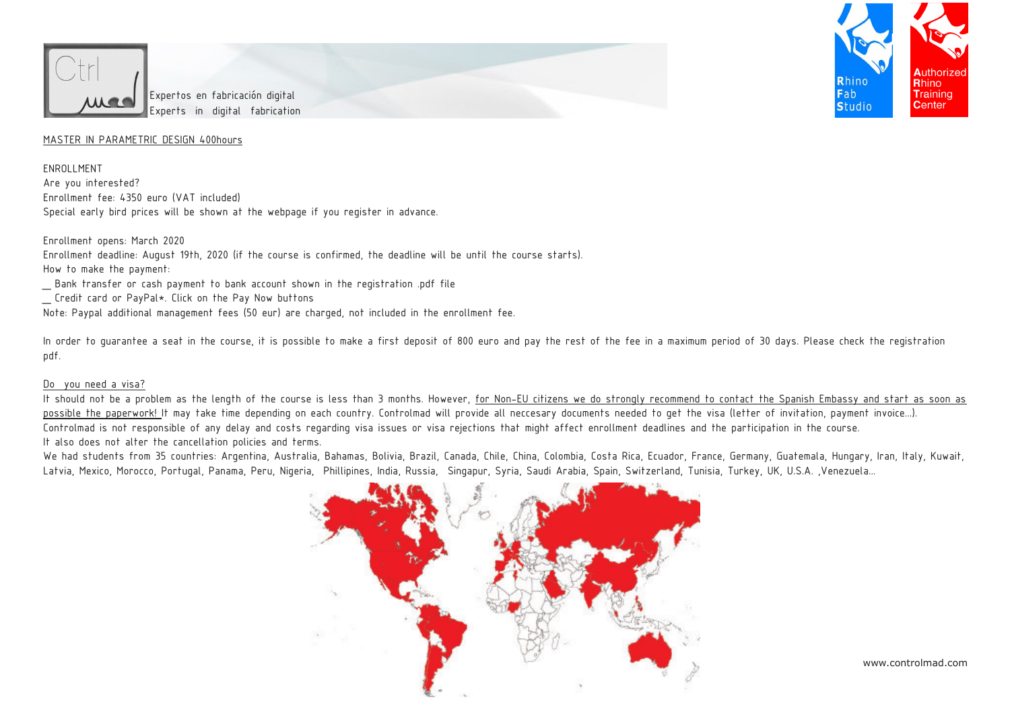



## MASTER IN PARAMETRIC DESIGN 400hours

ENROLLMENT Are you interested? Enrollment fee: 4350 euro (VAT included) Special early bird prices will be shown at the webpage if you register in advance.

Enrollment opens: March 2020 Enrollment deadline: August 19th, 2020 (if the course is confirmed, the deadline will be until the course starts). How to make the payment: \_ Bank transfer or cash payment to bank account shown in the registration .pdf file Credit card or PayPal\*. Click on the Pay Now buttons Note: Paypal additional management fees (50 eur) are charged, not included in the enrollment fee.

In order to quarantee a seat in the course, it is possible to make a first deposit of 800 euro and pay the rest of the fee in a maximum period of 30 days. Please check the reqistration pdf.

## Do you need a visa?

It should not be a problem as the length of the course is less than 3 months. However, for Non-EU citizens we do strongly recommend to contact the Spanish Embassy and start as soon as possible the paperwork! It may take time depending on each country. Controlmad will provide all neccesary documents needed to get the visa (letter of invitation, payment invoice...). Controlmad is not responsible of any delay and costs regarding visa issues or visa rejections that might affect enrollment deadlines and the participation in the course. It also does not alter the cancellation policies and terms.

We had students from 35 countries: Argentina, Australia, Bahamas, Bolivia, Brazil, Canada, Chile, China, Colombia, Costa Rica, Ecuador, France, Germany, Guatemala, Hungary, Iran, Italy, Kuwait, Latvia, Mexico, Morocco, Portugal, Panama, Peru, Nigeria, Phillipines, India, Russia, Singapur, Syria, Saudi Arabia, Spain, Switzerland, Tunisia, Turkey, UK, U.S.A. ,Venezuela...



www.controlmad.com